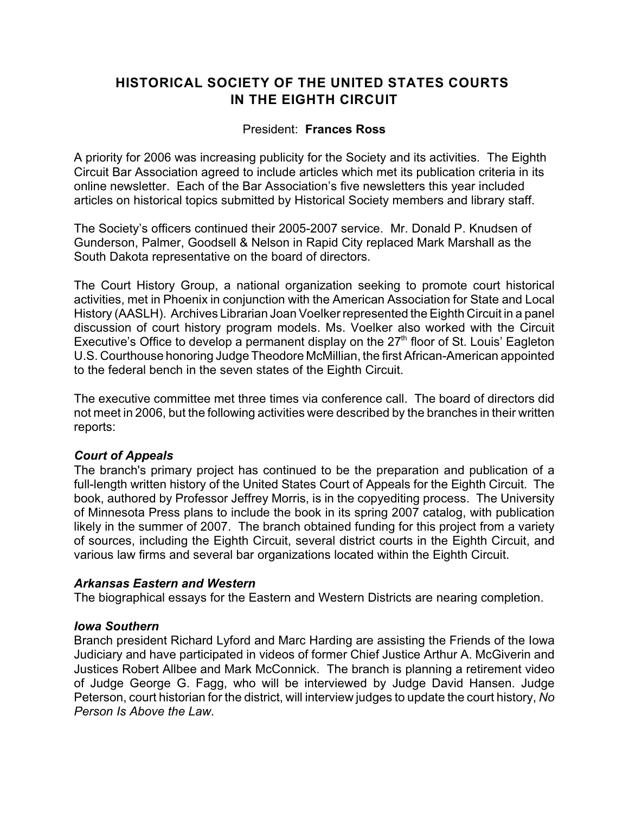# **HISTORICAL SOCIETY OF THE UNITED STATES COURTS IN THE EIGHTH CIRCUIT**

## President: **Frances Ross**

A priority for 2006 was increasing publicity for the Society and its activities. The Eighth Circuit Bar Association agreed to include articles which met its publication criteria in its online newsletter. Each of the Bar Association's five newsletters this year included articles on historical topics submitted by Historical Society members and library staff.

The Society's officers continued their 2005-2007 service. Mr. Donald P. Knudsen of Gunderson, Palmer, Goodsell & Nelson in Rapid City replaced Mark Marshall as the South Dakota representative on the board of directors.

The Court History Group, a national organization seeking to promote court historical activities, met in Phoenix in conjunction with the American Association for State and Local History (AASLH). Archives Librarian Joan Voelker represented the Eighth Circuit in a panel discussion of court history program models. Ms. Voelker also worked with the Circuit Executive's Office to develop a permanent display on the  $27<sup>th</sup>$  floor of St. Louis' Eagleton U.S. Courthouse honoring Judge Theodore McMillian, the first African-American appointed to the federal bench in the seven states of the Eighth Circuit.

The executive committee met three times via conference call. The board of directors did not meet in 2006, but the following activities were described by the branches in their written reports:

## *Court of Appeals*

The branch's primary project has continued to be the preparation and publication of a full-length written history of the United States Court of Appeals for the Eighth Circuit. The book, authored by Professor Jeffrey Morris, is in the copyediting process. The University of Minnesota Press plans to include the book in its spring 2007 catalog, with publication likely in the summer of 2007. The branch obtained funding for this project from a variety of sources, including the Eighth Circuit, several district courts in the Eighth Circuit, and various law firms and several bar organizations located within the Eighth Circuit.

#### *Arkansas Eastern and Western*

The biographical essays for the Eastern and Western Districts are nearing completion.

#### *Iowa Southern*

Branch president Richard Lyford and Marc Harding are assisting the Friends of the Iowa Judiciary and have participated in videos of former Chief Justice Arthur A. McGiverin and Justices Robert Allbee and Mark McConnick. The branch is planning a retirement video of Judge George G. Fagg, who will be interviewed by Judge David Hansen. Judge Peterson, court historian for the district, will interview judges to update the court history, *No Person Is Above the Law*.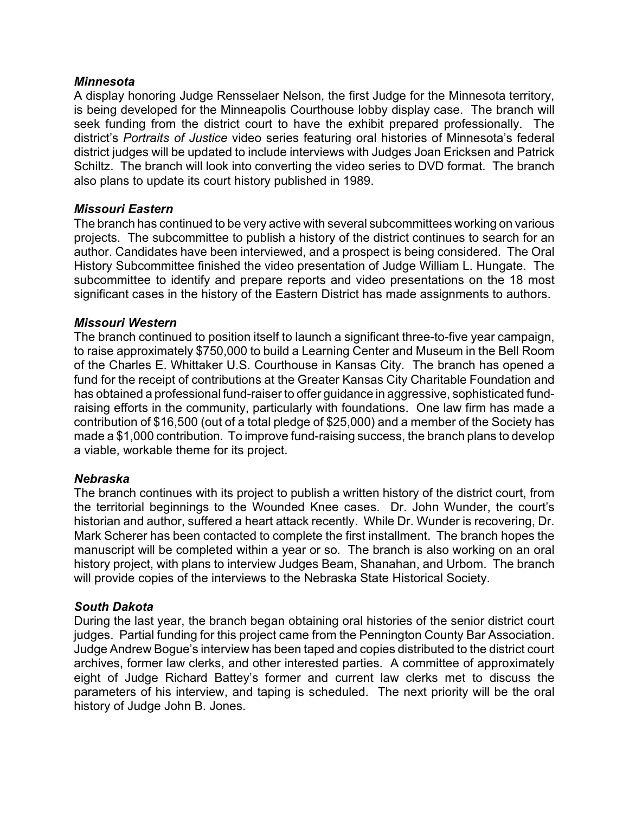#### *Minnesota*

A display honoring Judge Rensselaer Nelson, the first Judge for the Minnesota territory, is being developed for the Minneapolis Courthouse lobby display case. The branch will seek funding from the district court to have the exhibit prepared professionally. The district's *Portraits of Justice* video series featuring oral histories of Minnesota's federal district judges will be updated to include interviews with Judges Joan Ericksen and Patrick Schiltz. The branch will look into converting the video series to DVD format. The branch also plans to update its court history published in 1989.

#### *Missouri Eastern*

The branch has continued to be very active with several subcommittees working on various projects. The subcommittee to publish a history of the district continues to search for an author. Candidates have been interviewed, and a prospect is being considered. The Oral History Subcommittee finished the video presentation of Judge William L. Hungate. The subcommittee to identify and prepare reports and video presentations on the 18 most significant cases in the history of the Eastern District has made assignments to authors.

#### *Missouri Western*

The branch continued to position itself to launch a significant three-to-five year campaign, to raise approximately \$750,000 to build a Learning Center and Museum in the Bell Room of the Charles E. Whittaker U.S. Courthouse in Kansas City. The branch has opened a fund for the receipt of contributions at the Greater Kansas City Charitable Foundation and has obtained a professional fund-raiser to offer guidance in aggressive, sophisticated fundraising efforts in the community, particularly with foundations. One law firm has made a contribution of \$16,500 (out of a total pledge of \$25,000) and a member of the Society has made a \$1,000 contribution. To improve fund-raising success, the branch plans to develop a viable, workable theme for its project.

#### *Nebraska*

The branch continues with its project to publish a written history of the district court, from the territorial beginnings to the Wounded Knee cases. Dr. John Wunder, the court's historian and author, suffered a heart attack recently. While Dr. Wunder is recovering, Dr. Mark Scherer has been contacted to complete the first installment. The branch hopes the manuscript will be completed within a year or so. The branch is also working on an oral history project, with plans to interview Judges Beam, Shanahan, and Urbom. The branch will provide copies of the interviews to the Nebraska State Historical Society.

## *South Dakota*

During the last year, the branch began obtaining oral histories of the senior district court judges. Partial funding for this project came from the Pennington County Bar Association. Judge Andrew Bogue's interview has been taped and copies distributed to the district court archives, former law clerks, and other interested parties. A committee of approximately eight of Judge Richard Battey's former and current law clerks met to discuss the parameters of his interview, and taping is scheduled. The next priority will be the oral history of Judge John B. Jones.